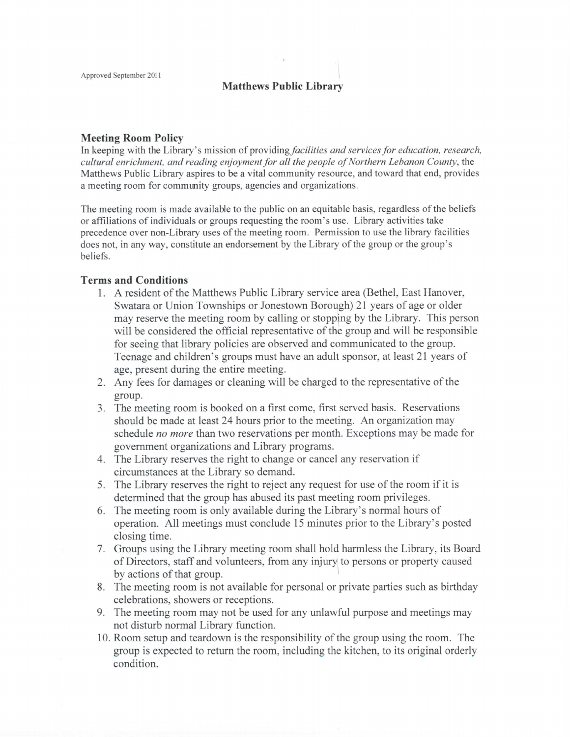## **Matthews Public Library**

## **Meeting Room Policy**

In keeping with the Library's mission of *providing facilities and services for education, research, cultural enrichment, and reading enjoyment for all the people of Northern Lebanon County,* the Matthews Public Library aspires to be a vital community resource, and toward that end, provides a meeting room for community groups, agencies and organizations.

The meeting room is made available to the public on an equitable basis, regardless of the beliefs or affiliations of individuals or groups requesting the room's use. Library activities take precedence over non-Library uses of the meeting room. Permission to use the library facilities does not, in any way, constitute an endorsement by the Library of the group or the group's beliefs.

## **Terms and Conditions**

- 1. A resident of the Matthews Public Library service area (Bethel, East Hanover, Swatara or Union Townships or Jonestown Borough) 21 years of age or older may reserve the meeting room by calling or stopping by the Library. This person will be considered the official representative of the group and will be responsible for seeing that library policies are observed and communicated to the group. Teenage and children's groups must have an adult sponsor, at least 21 years of age, present during the entire meeting.
- 2. Any fees for damages or cleaning will be charged to the representative of the group.
- 3. The meeting room is booked on a first come, first served basis. Reservations should be made at least 24 hours prior to the meeting. An organization may schedule *no more* than two reservations per month. Exceptions may be made for government organizations and Library programs.
- 4. The Library reserves the right to change or cancel any reservation if circumstances at the Library so demand.
- 5. The Library reserves the right to reject any request for use of the room if it is determined that the group has abused its past meeting room privileges.
- 6. The meeting room is only available during the Library's normal hours of operation. All meetings must conclude 15 minutes prior to the Library's posted closing time.
- 7. Groups using the Library meeting room shall hold harmless the Library, its Board of Directors, staff and volunteers, from any injury to persons or property caused by actions of that group.
- 8. The meeting room is not available for personal or private parties such as birthday celebrations, showers or receptions.
- 9. The meeting room may not be used for any unlawful purpose and meetings may not disturb normal Library function.
- 10. Room setup and teardown is the responsibility of the group using the room. The group is expected to return the room, including the kitchen, to its original orderly condition.